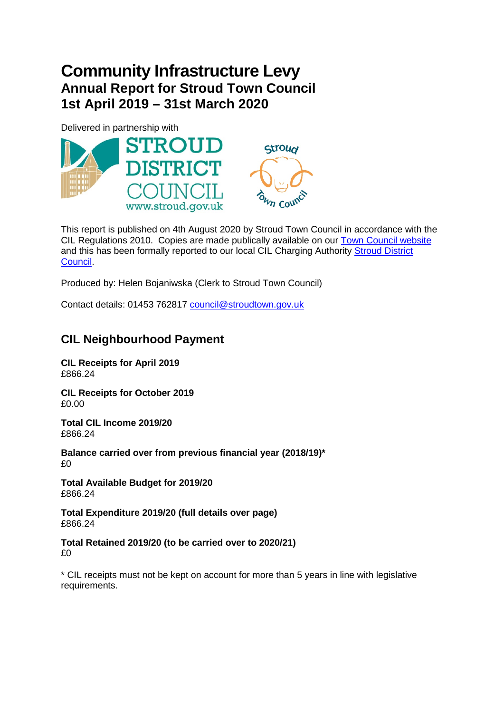# **Community Infrastructure Levy Annual Report for Stroud Town Council 1st April 2019 – 31st March 2020**

Delivered in partnership with



This report is published on 4th August 2020 by Stroud Town Council in accordance with the CIL Regulations 2010. Copies are made publically available on our [Town Council website](http://www.stroudtown.gov.uk/) and this has been formally reported to our local CIL Charging Authority [Stroud District](http://www.stroud.gov.uk/)  [Council.](http://www.stroud.gov.uk/)

Produced by: Helen Bojaniwska (Clerk to Stroud Town Council)

Contact details: 01453 762817 [council@stroudtown.gov.uk](mailto:council@stroudtown.gov.uk)

# **CIL Neighbourhood Payment**

**CIL Receipts for April 2019** £866.24

**CIL Receipts for October 2019** £0.00

**Total CIL Income 2019/20** £866.24

**Balance carried over from previous financial year (2018/19)\*** £0

**Total Available Budget for 2019/20** £866.24

**Total Expenditure 2019/20 (full details over page)** £866.24

### **Total Retained 2019/20 (to be carried over to 2020/21)** £0

\* CIL receipts must not be kept on account for more than 5 years in line with legislative requirements.